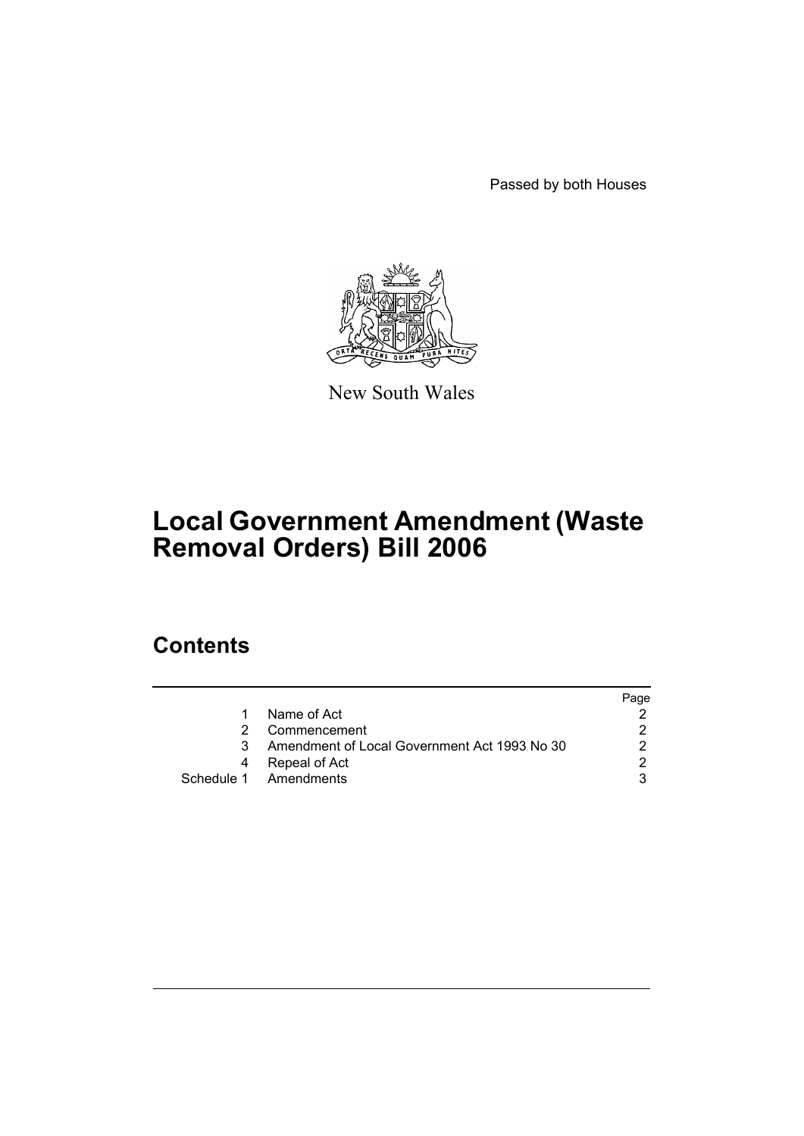Passed by both Houses



New South Wales

# **Local Government Amendment (Waste Removal Orders) Bill 2006**

### **Contents**

|   |                                              | Page |
|---|----------------------------------------------|------|
|   | Name of Act                                  |      |
|   | Commencement                                 |      |
| 3 | Amendment of Local Government Act 1993 No 30 |      |
|   | Repeal of Act                                |      |
|   | Schedule 1 Amendments                        |      |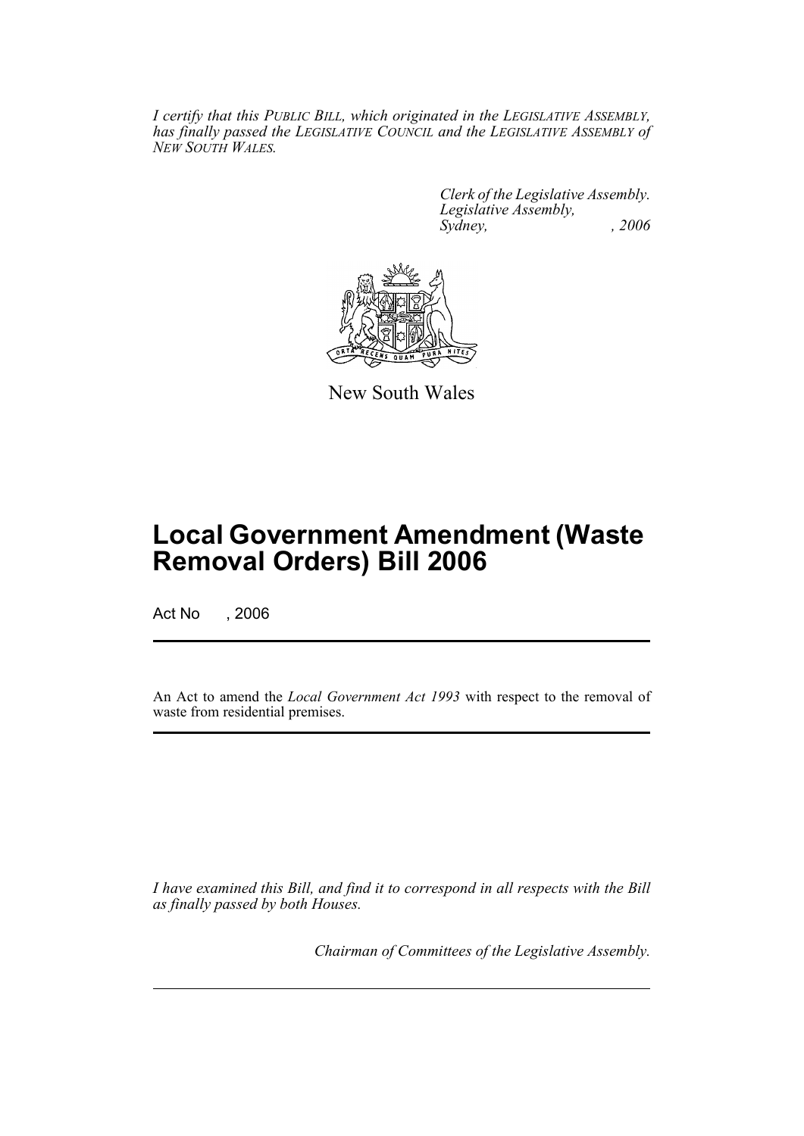*I certify that this PUBLIC BILL, which originated in the LEGISLATIVE ASSEMBLY, has finally passed the LEGISLATIVE COUNCIL and the LEGISLATIVE ASSEMBLY of NEW SOUTH WALES.*

> *Clerk of the Legislative Assembly. Legislative Assembly, Sydney, , 2006*



New South Wales

## **Local Government Amendment (Waste Removal Orders) Bill 2006**

Act No , 2006

An Act to amend the *Local Government Act 1993* with respect to the removal of waste from residential premises.

*I have examined this Bill, and find it to correspond in all respects with the Bill as finally passed by both Houses.*

*Chairman of Committees of the Legislative Assembly.*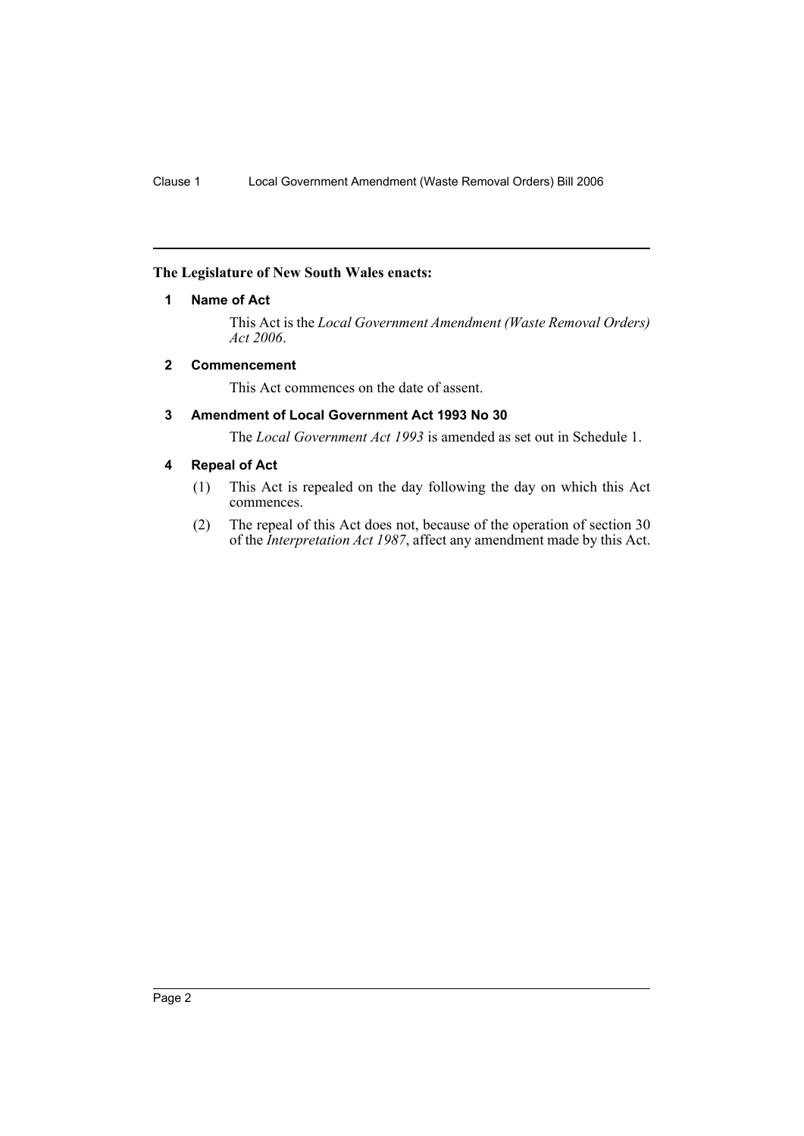#### **The Legislature of New South Wales enacts:**

#### **1 Name of Act**

This Act is the *Local Government Amendment (Waste Removal Orders) Act 2006*.

#### **2 Commencement**

This Act commences on the date of assent.

#### **3 Amendment of Local Government Act 1993 No 30**

The *Local Government Act 1993* is amended as set out in Schedule 1.

#### **4 Repeal of Act**

- (1) This Act is repealed on the day following the day on which this Act commences.
- (2) The repeal of this Act does not, because of the operation of section 30 of the *Interpretation Act 1987*, affect any amendment made by this Act.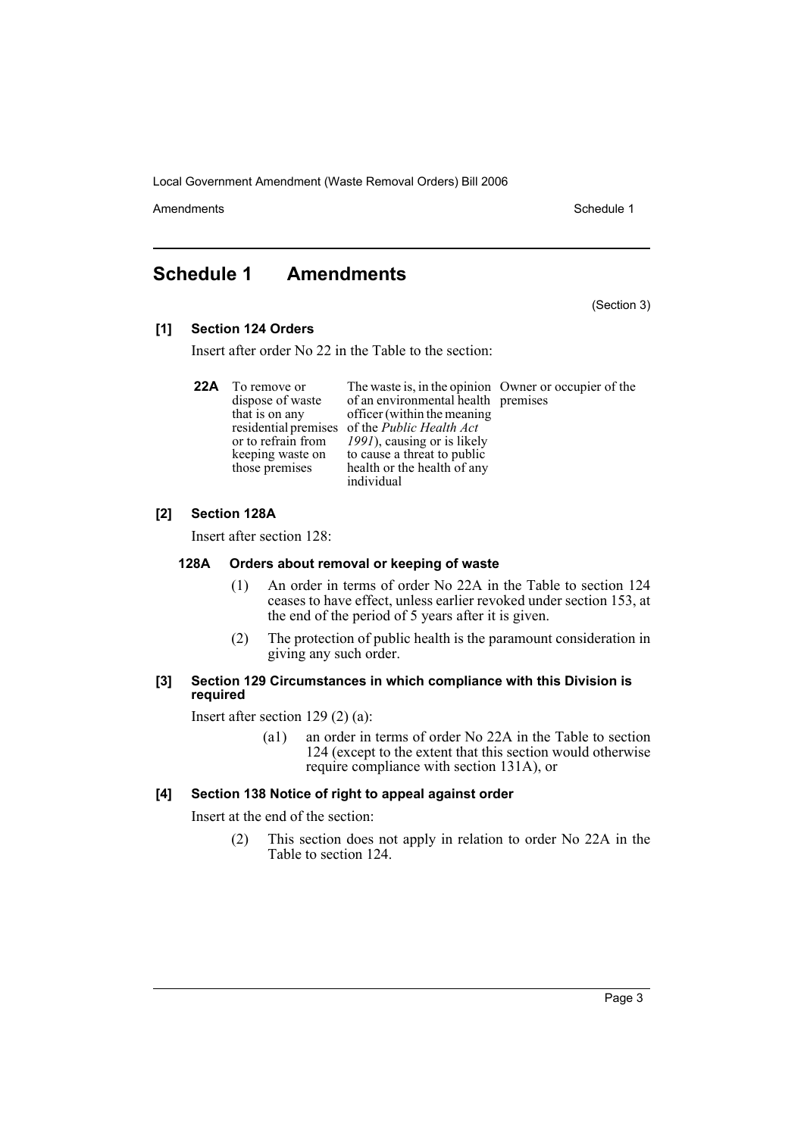Local Government Amendment (Waste Removal Orders) Bill 2006

Amendments **Schedule 1** and the set of the set of the set of the set of the set of the set of the set of the set of the set of the set of the set of the set of the set of the set of the set of the set of the set of the set

### **Schedule 1 Amendments**

#### **[1] Section 124 Orders**

Insert after order No 22 in the Table to the section:

| 22A | To remove or       | The waste is, in the opinion Owner or occupier of the |  |
|-----|--------------------|-------------------------------------------------------|--|
|     | dispose of waste   | of an environmental health premises                   |  |
|     | that is on any     | officer (within the meaning)                          |  |
|     |                    | residential premises of the Public Health Act         |  |
|     | or to refrain from | 1991), causing or is likely                           |  |
|     | keeping waste on   | to cause a threat to public                           |  |
|     | those premises     | health or the health of any                           |  |
|     |                    | individual                                            |  |

#### **[2] Section 128A**

Insert after section 128:

#### **128A Orders about removal or keeping of waste**

- (1) An order in terms of order No 22A in the Table to section 124 ceases to have effect, unless earlier revoked under section 153, at the end of the period of 5 years after it is given.
- (2) The protection of public health is the paramount consideration in giving any such order.

#### **[3] Section 129 Circumstances in which compliance with this Division is required**

Insert after section 129 (2) (a):

(a1) an order in terms of order No 22A in the Table to section 124 (except to the extent that this section would otherwise require compliance with section 131A), or

#### **[4] Section 138 Notice of right to appeal against order**

Insert at the end of the section:

(2) This section does not apply in relation to order No 22A in the Table to section 124.

(Section 3)